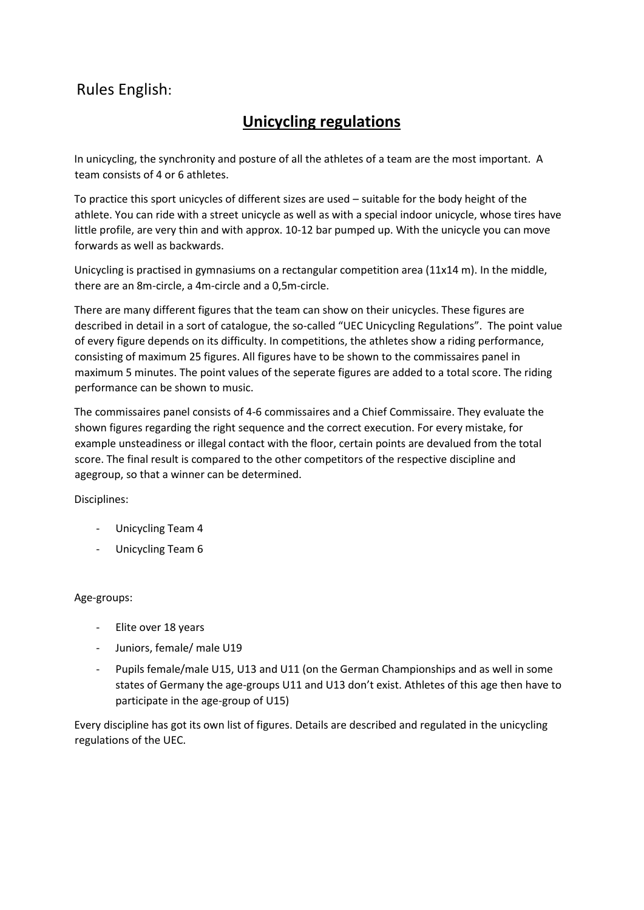## Rules English:

## **Unicycling regulations**

In unicycling, the synchronity and posture of all the athletes of a team are the most important. A team consists of 4 or 6 athletes.

To practice this sport unicycles of different sizes are used – suitable for the body height of the athlete. You can ride with a street unicycle as well as with a special indoor unicycle, whose tires have little profile, are very thin and with approx. 10-12 bar pumped up. With the unicycle you can move forwards as well as backwards.

Unicycling is practised in gymnasiums on a rectangular competition area (11x14 m). In the middle, there are an 8m-circle, a 4m-circle and a 0,5m-circle.

There are many different figures that the team can show on their unicycles. These figures are described in detail in a sort of catalogue, the so-called "UEC Unicycling Regulations". The point value of every figure depends on its difficulty. In competitions, the athletes show a riding performance, consisting of maximum 25 figures. All figures have to be shown to the commissaires panel in maximum 5 minutes. The point values of the seperate figures are added to a total score. The riding performance can be shown to music.

The commissaires panel consists of 4-6 commissaires and a Chief Commissaire. They evaluate the shown figures regarding the right sequence and the correct execution. For every mistake, for example unsteadiness or illegal contact with the floor, certain points are devalued from the total score. The final result is compared to the other competitors of the respective discipline and agegroup, so that a winner can be determined.

Disciplines:

- Unicycling Team 4
- Unicycling Team 6

## Age-groups:

- Elite over 18 years
- Juniors, female/ male U19
- Pupils female/male U15, U13 and U11 (on the German Championships and as well in some states of Germany the age-groups U11 and U13 don't exist. Athletes of this age then have to participate in the age-group of U15)

Every discipline has got its own list of figures. Details are described and regulated in the unicycling regulations of the UEC.